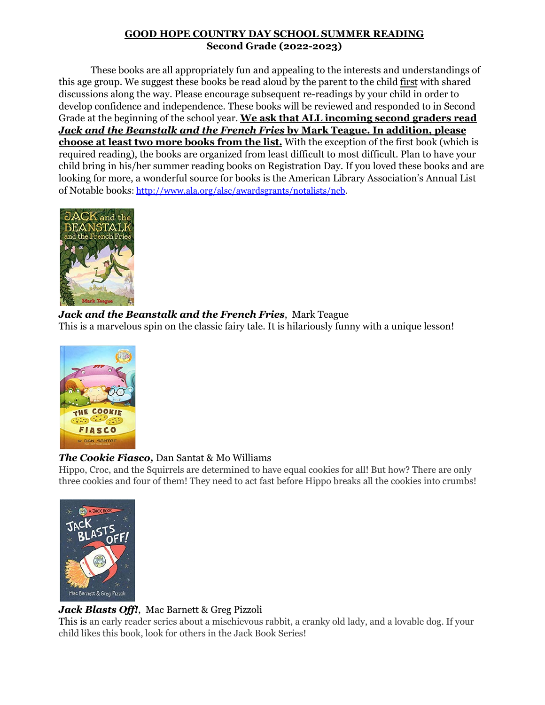#### **GOOD HOPE COUNTRY DAY SCHOOL SUMMER READING Second Grade (2022-2023)**

These books are all appropriately fun and appealing to the interests and understandings of this age group. We suggest these books be read aloud by the parent to the child first with shared discussions along the way. Please encourage subsequent re-readings by your child in order to develop confidence and independence. These books will be reviewed and responded to in Second Grade at the beginning of the school year. **We ask that ALL incoming second graders read** *Jack and the Beanstalk and the French Fries* **by Mark Teague. In addition, please choose at least two more books from the list.** With the exception of the first book (which is required reading), the books are organized from least difficult to most difficult. Plan to have your child bring in his/her summer reading books on Registration Day. If you loved these books and are looking for more, a wonderful source for books is the American Library Association's Annual List of Notable books: [http://www.ala.org/alsc/awardsgrants/notalists/ncb.](http://www.ala.org/alsc/awardsgrants/notalists/ncb)



#### *Jack and the Beanstalk and the French Fries*, Mark Teague

This is a marvelous spin on the classic fairy tale. It is hilariously funny with a unique lesson!



# *The Cookie Fiasco,* Dan Santat & Mo Williams

Hippo, Croc, and the Squirrels are determined to have equal cookies for all! But how? There are only three cookies and four of them! They need to act fast before Hippo breaks all the cookies into crumbs!



# *Jack Blasts Off!*, Mac Barnett & Greg Pizzoli

This is an early reader series about a mischievous rabbit, a cranky old lady, and a lovable dog. If your child likes this book, look for others in the Jack Book Series!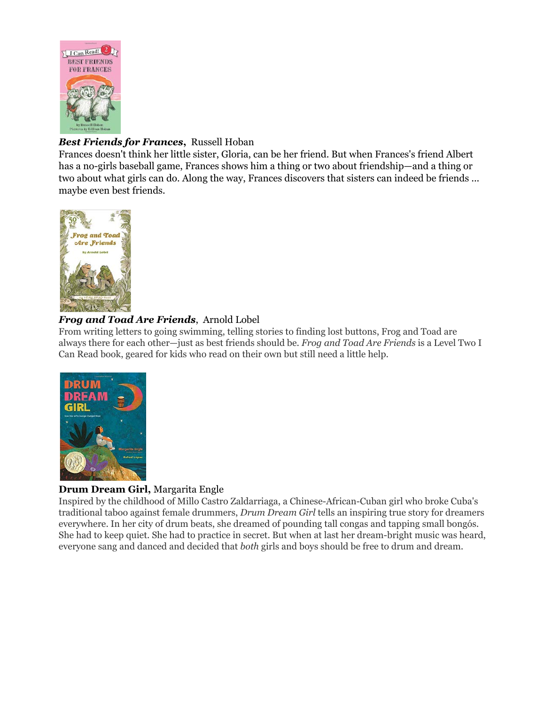

### *Best Friends for Frances***,** Russell Hoban

Frances doesn't think her little sister, Gloria, can be her friend. But when Frances's friend Albert has a no-girls baseball game, Frances shows him a thing or two about friendship—and a thing or two about what girls can do. Along the way, Frances discovers that sisters can indeed be friends ... maybe even best friends.



#### *Frog and Toad Are Friends*, Arnold Lobel

From writing letters to going swimming, telling stories to finding lost buttons, Frog and Toad are always there for each other—just as best friends should be. *Frog and Toad Are Friends* is a Level Two I Can Read book, geared for kids who read on their own but still need a little help.



#### **Drum Dream Girl,** Margarita Engle

Inspired by the childhood of Millo Castro Zaldarriaga, a Chinese-African-Cuban girl who broke Cuba's traditional taboo against female drummers, *Drum Dream Girl* tells an inspiring true story for dreamers everywhere. In her city of drum beats, she dreamed of pounding tall congas and tapping small bongós. She had to keep quiet. She had to practice in secret. But when at last her dream-bright music was heard, everyone sang and danced and decided that *both* girls and boys should be free to drum and dream.